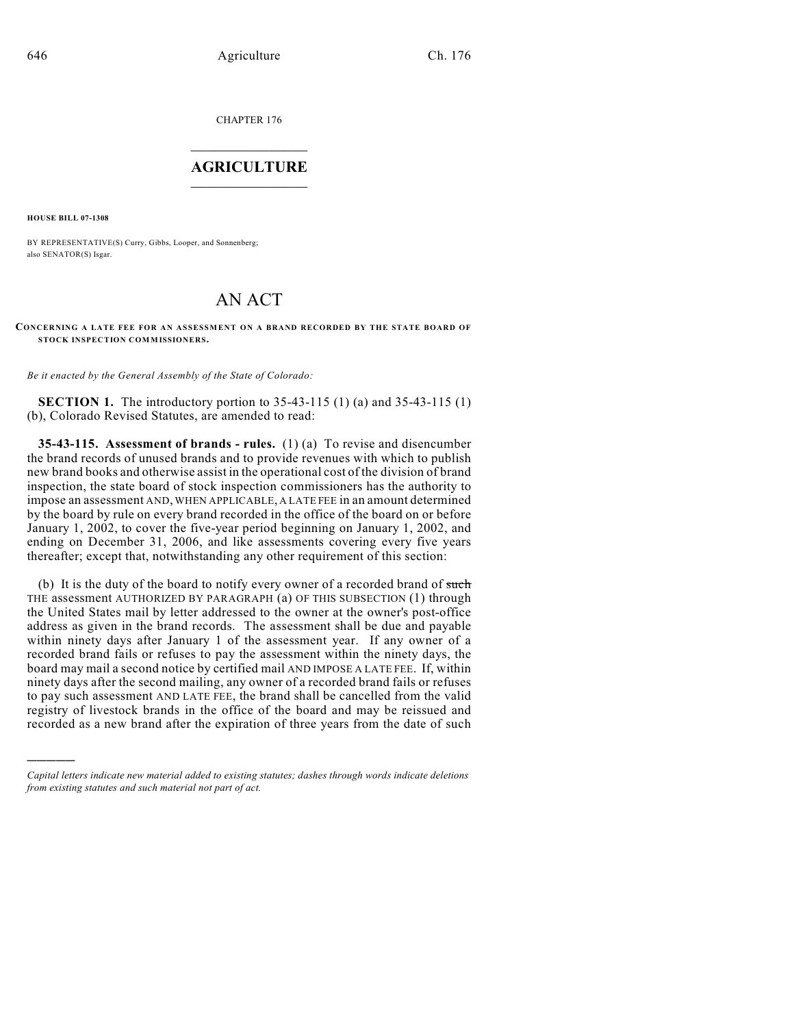CHAPTER 176

## $\overline{\phantom{a}}$  . The set of the set of the set of the set of the set of the set of the set of the set of the set of the set of the set of the set of the set of the set of the set of the set of the set of the set of the set o **AGRICULTURE**  $\_$   $\_$   $\_$   $\_$   $\_$   $\_$   $\_$   $\_$

**HOUSE BILL 07-1308**

)))))

BY REPRESENTATIVE(S) Curry, Gibbs, Looper, and Sonnenberg; also SENATOR(S) Isgar.

## AN ACT

## **CONCERNING A LATE FEE FOR AN ASSESSMENT ON A BRAND RECORDED BY THE STATE BOARD OF STOCK INSPECTION COMMISSIONERS.**

*Be it enacted by the General Assembly of the State of Colorado:*

**SECTION 1.** The introductory portion to 35-43-115 (1) (a) and 35-43-115 (1) (b), Colorado Revised Statutes, are amended to read:

**35-43-115. Assessment of brands - rules.** (1) (a) To revise and disencumber the brand records of unused brands and to provide revenues with which to publish new brand books and otherwise assist in the operational cost of the division of brand inspection, the state board of stock inspection commissioners has the authority to impose an assessment AND, WHEN APPLICABLE, A LATE FEE in an amount determined by the board by rule on every brand recorded in the office of the board on or before January 1, 2002, to cover the five-year period beginning on January 1, 2002, and ending on December 31, 2006, and like assessments covering every five years thereafter; except that, notwithstanding any other requirement of this section:

(b) It is the duty of the board to notify every owner of a recorded brand of such THE assessment AUTHORIZED BY PARAGRAPH (a) OF THIS SUBSECTION (1) through the United States mail by letter addressed to the owner at the owner's post-office address as given in the brand records. The assessment shall be due and payable within ninety days after January 1 of the assessment year. If any owner of a recorded brand fails or refuses to pay the assessment within the ninety days, the board may mail a second notice by certified mail AND IMPOSE A LATE FEE. If, within ninety days after the second mailing, any owner of a recorded brand fails or refuses to pay such assessment AND LATE FEE, the brand shall be cancelled from the valid registry of livestock brands in the office of the board and may be reissued and recorded as a new brand after the expiration of three years from the date of such

*Capital letters indicate new material added to existing statutes; dashes through words indicate deletions from existing statutes and such material not part of act.*